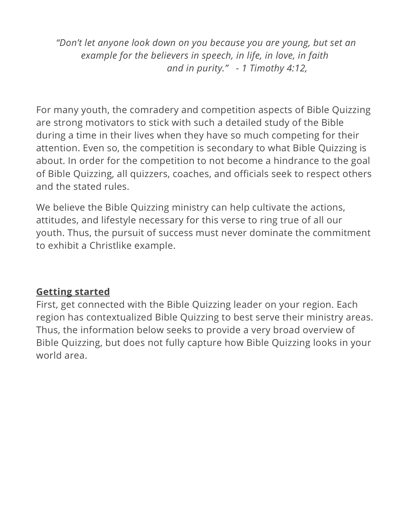"Don't let anyone look down on you because you are young, but set an example for the believers in speech, in life, in love, in faith and in purity." - 1 Timothy 4:12,

For many youth, the comradery and competition aspects of Bible Quizzing are strong motivators to stick with such a detailed study of the Bible during a time in their lives when they have so much competing for their attention. Even so, the competition is secondary to what Bible Quizzing is about. In order for the competition to not become a hindrance to the goal of Bible Quizzing, all quizzers, coaches, and officials seek to respect others and the stated rules.

We believe the Bible Quizzing ministry can help cultivate the actions, attitudes, and lifestyle necessary for this verse to ring true of all our youth. Thus, the pursuit of success must never dominate the commitment to exhibit a Christlike example.

### Getting started

First, get connected with the Bible Quizzing leader on your region. Each region has contextualized Bible Quizzing to best serve their ministry areas. Thus, the information below seeks to provide a very broad overview of Bible Quizzing, but does not fully capture how Bible Quizzing looks in your world area.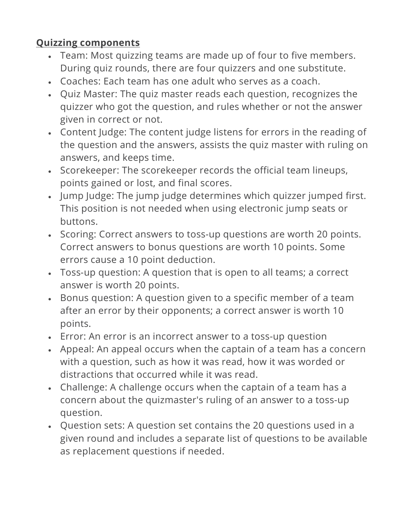## Quizzing components

- Team: Most quizzing teams are made up of four to five members. During quiz rounds, there are four quizzers and one substitute.
- Coaches: Each team has one adult who serves as a coach.
- Quiz Master: The quiz master reads each question, recognizes the quizzer who got the question, and rules whether or not the answer given in correct or not.
- Content Judge: The content judge listens for errors in the reading of the question and the answers, assists the quiz master with ruling on answers, and keeps time.
- Scorekeeper: The scorekeeper records the official team lineups, points gained or lost, and final scores.
- Jump Judge: The jump judge determines which quizzer jumped first. This position is not needed when using electronic jump seats or buttons.
- Scoring: Correct answers to toss-up questions are worth 20 points. Correct answers to bonus questions are worth 10 points. Some errors cause a 10 point deduction.
- Toss-up question: A question that is open to all teams; a correct answer is worth 20 points.
- Bonus question: A question given to a specific member of a team after an error by their opponents; a correct answer is worth 10 points.
- Error: An error is an incorrect answer to a toss-up question
- Appeal: An appeal occurs when the captain of a team has a concern with a question, such as how it was read, how it was worded or distractions that occurred while it was read.
- Challenge: A challenge occurs when the captain of a team has a concern about the quizmaster's ruling of an answer to a toss-up question.
- Question sets: A question set contains the 20 questions used in a given round and includes a separate list of questions to be available as replacement questions if needed.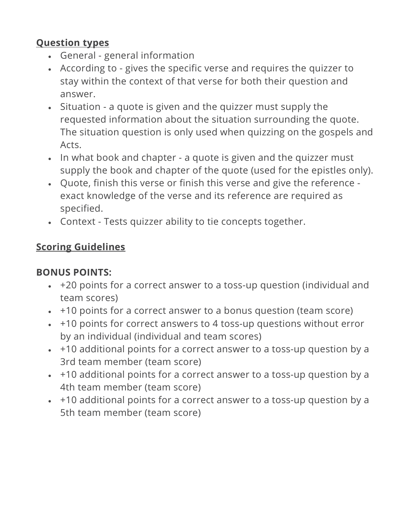### Question types

- General general information
- According to gives the specific verse and requires the quizzer to stay within the context of that verse for both their question and answer.
- Situation a quote is given and the quizzer must supply the requested information about the situation surrounding the quote. The situation question is only used when quizzing on the gospels and Acts.
- In what book and chapter a quote is given and the quizzer must supply the book and chapter of the quote (used for the epistles only).
- Quote, finish this verse or finish this verse and give the reference exact knowledge of the verse and its reference are required as specified.
- Context Tests quizzer ability to tie concepts together.

# Scoring Guidelines

# BONUS POINTS:

- +20 points for a correct answer to a toss-up question (individual and team scores)
- +10 points for a correct answer to a bonus question (team score)
- + +10 points for correct answers to 4 toss-up questions without error by an individual (individual and team scores)
- +10 additional points for a correct answer to a toss-up question by a 3rd team member (team score)
- + +10 additional points for a correct answer to a toss-up question by a 4th team member (team score)
- +10 additional points for a correct answer to a toss-up question by a 5th team member (team score)